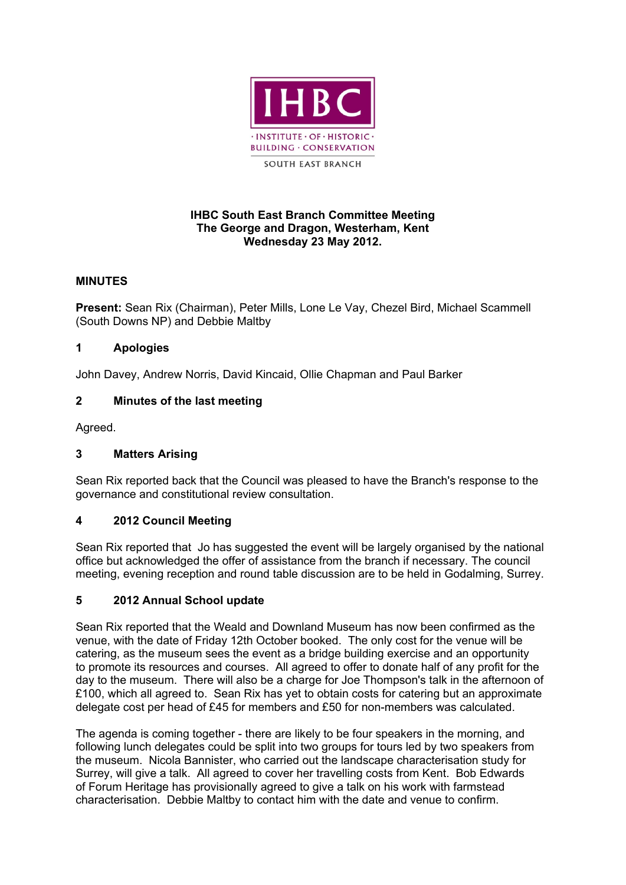

### **IHBC South East Branch Committee Meeting The George and Dragon, Westerham, Kent Wednesday 23 May 2012.**

# **MINUTES**

**Present:** Sean Rix (Chairman), Peter Mills, Lone Le Vay, Chezel Bird, Michael Scammell (South Downs NP) and Debbie Maltby

# **1 Apologies**

John Davey, Andrew Norris, David Kincaid, Ollie Chapman and Paul Barker

# **2 Minutes of the last meeting**

Agreed.

### **3 Matters Arising**

Sean Rix reported back that the Council was pleased to have the Branch's response to the governance and constitutional review consultation.

### **4 2012 Council Meeting**

Sean Rix reported that Jo has suggested the event will be largely organised by the national office but acknowledged the offer of assistance from the branch if necessary. The council meeting, evening reception and round table discussion are to be held in Godalming, Surrey.

### **5 2012 Annual School update**

Sean Rix reported that the Weald and Downland Museum has now been confirmed as the venue, with the date of Friday 12th October booked. The only cost for the venue will be catering, as the museum sees the event as a bridge building exercise and an opportunity to promote its resources and courses. All agreed to offer to donate half of any profit for the day to the museum. There will also be a charge for Joe Thompson's talk in the afternoon of £100, which all agreed to. Sean Rix has yet to obtain costs for catering but an approximate delegate cost per head of £45 for members and £50 for non-members was calculated.

The agenda is coming together - there are likely to be four speakers in the morning, and following lunch delegates could be split into two groups for tours led by two speakers from the museum. Nicola Bannister, who carried out the landscape characterisation study for Surrey, will give a talk. All agreed to cover her travelling costs from Kent. Bob Edwards of Forum Heritage has provisionally agreed to give a talk on his work with farmstead characterisation. Debbie Maltby to contact him with the date and venue to confirm.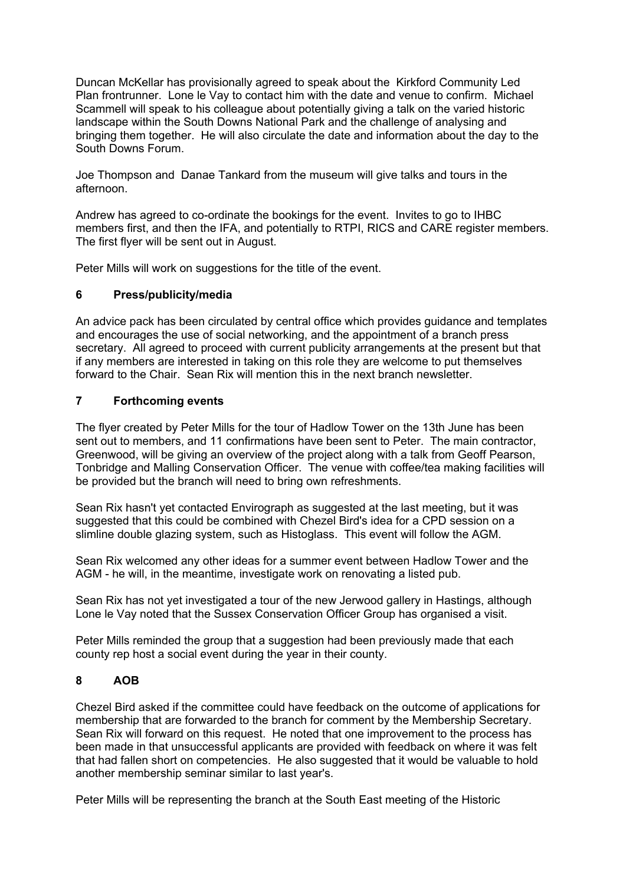Duncan McKellar has provisionally agreed to speak about the Kirkford Community Led Plan frontrunner. Lone le Vay to contact him with the date and venue to confirm. Michael Scammell will speak to his colleague about potentially giving a talk on the varied historic landscape within the South Downs National Park and the challenge of analysing and bringing them together. He will also circulate the date and information about the day to the South Downs Forum.

Joe Thompson and Danae Tankard from the museum will give talks and tours in the afternoon.

Andrew has agreed to co-ordinate the bookings for the event. Invites to go to IHBC members first, and then the IFA, and potentially to RTPI, RICS and CARE register members. The first flyer will be sent out in August.

Peter Mills will work on suggestions for the title of the event.

### **6 Press/publicity/media**

An advice pack has been circulated by central office which provides guidance and templates and encourages the use of social networking, and the appointment of a branch press secretary. All agreed to proceed with current publicity arrangements at the present but that if any members are interested in taking on this role they are welcome to put themselves forward to the Chair. Sean Rix will mention this in the next branch newsletter.

### **7 Forthcoming events**

The flyer created by Peter Mills for the tour of Hadlow Tower on the 13th June has been sent out to members, and 11 confirmations have been sent to Peter. The main contractor, Greenwood, will be giving an overview of the project along with a talk from Geoff Pearson, Tonbridge and Malling Conservation Officer. The venue with coffee/tea making facilities will be provided but the branch will need to bring own refreshments.

Sean Rix hasn't yet contacted Envirograph as suggested at the last meeting, but it was suggested that this could be combined with Chezel Bird's idea for a CPD session on a slimline double glazing system, such as Histoglass. This event will follow the AGM.

Sean Rix welcomed any other ideas for a summer event between Hadlow Tower and the AGM - he will, in the meantime, investigate work on renovating a listed pub.

Sean Rix has not yet investigated a tour of the new Jerwood gallery in Hastings, although Lone le Vay noted that the Sussex Conservation Officer Group has organised a visit.

Peter Mills reminded the group that a suggestion had been previously made that each county rep host a social event during the year in their county.

### **8 AOB**

Chezel Bird asked if the committee could have feedback on the outcome of applications for membership that are forwarded to the branch for comment by the Membership Secretary. Sean Rix will forward on this request. He noted that one improvement to the process has been made in that unsuccessful applicants are provided with feedback on where it was felt that had fallen short on competencies. He also suggested that it would be valuable to hold another membership seminar similar to last year's.

Peter Mills will be representing the branch at the South East meeting of the Historic